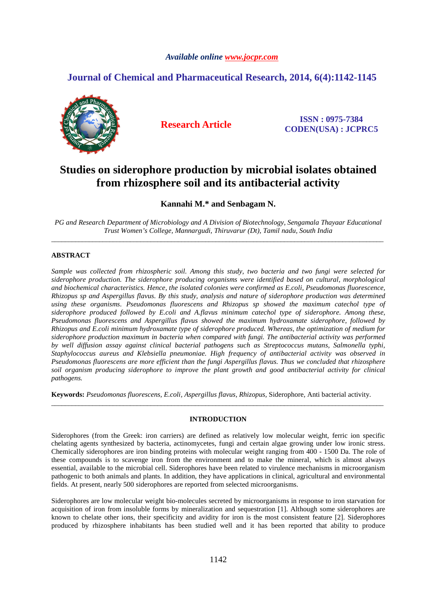### *Available online www.jocpr.com*

## **Journal of Chemical and Pharmaceutical Research, 2014, 6(4):1142-1145**



**Research Article ISSN : 0975-7384 CODEN(USA) : JCPRC5**

# **Studies on siderophore production by microbial isolates obtained from rhizosphere soil and its antibacterial activity**

**Kannahi M.\* and Senbagam N.** 

*PG and Research Department of Microbiology and A Division of Biotechnology, Sengamala Thayaar Educational Trust Women's College, Mannargudi, Thiruvarur (Dt), Tamil nadu, South India*  \_\_\_\_\_\_\_\_\_\_\_\_\_\_\_\_\_\_\_\_\_\_\_\_\_\_\_\_\_\_\_\_\_\_\_\_\_\_\_\_\_\_\_\_\_\_\_\_\_\_\_\_\_\_\_\_\_\_\_\_\_\_\_\_\_\_\_\_\_\_\_\_\_\_\_\_\_\_\_\_\_\_\_\_\_\_\_\_\_\_\_\_\_\_\_\_\_

#### **ABSTRACT**

*Sample was collected from rhizospheric soil. Among this study, two bacteria and two fungi were selected for siderophore production. The siderophore producing organisms were identified based on cultural, morphological and biochemical characteristics. Hence, the isolated colonies were confirmed as E.coli, Pseudomonas fluorescence, Rhizopus sp and Aspergillus flavus. By this study, analysis and nature of siderophore production was determined using these organisms. Pseudomonas fluorescens and Rhizopus sp showed the maximum catechol type of siderophore produced followed by E.coli and A.flavus minimum catechol type of siderophore. Among these, Pseudomonas fluorescens and Aspergillus flavus showed the maximum hydroxamate siderophore, followed by Rhizopus and E.coli minimum hydroxamate type of siderophore produced. Whereas, the optimization of medium for siderophore production maximum in bacteria when compared with fungi. The antibacterial activity was performed by well diffusion assay against clinical bacterial pathogens such as Streptococcus mutans, Salmonella typhi, Staphylococcus aureus and Klebsiella pneumoniae. High frequency of antibacterial activity was observed in Pseudomonas fluorescens are more efficient than the fungi Aspergillus flavus. Thus we concluded that rhizosphere soil organism producing siderophore to improve the plant growth and good antibacterial activity for clinical pathogens.* 

**Keywords:** *Pseudomonas fluorescens, E.coli, Aspergillus flavus, Rhizopus,* Siderophore*,* Anti bacterial activity.

#### **INTRODUCTION**

\_\_\_\_\_\_\_\_\_\_\_\_\_\_\_\_\_\_\_\_\_\_\_\_\_\_\_\_\_\_\_\_\_\_\_\_\_\_\_\_\_\_\_\_\_\_\_\_\_\_\_\_\_\_\_\_\_\_\_\_\_\_\_\_\_\_\_\_\_\_\_\_\_\_\_\_\_\_\_\_\_\_\_\_\_\_\_\_\_\_\_\_\_\_\_\_\_

Siderophores (from the Greek: iron carriers) are defined as relatively low molecular weight, ferric ion specific chelating agents synthesized by bacteria, actinomycetes, fungi and certain algae growing under low ironic stress. Chemically siderophores are iron binding proteins with molecular weight ranging from 400 - 1500 Da. The role of these compounds is to scavenge iron from the environment and to make the mineral, which is almost always essential, available to the microbial cell. Siderophores have been related to virulence mechanisms in microorganism pathogenic to both animals and plants. In addition, they have applications in clinical, agricultural and environmental fields. At present, nearly 500 siderophores are reported from selected microorganisms.

Siderophores are low molecular weight bio-molecules secreted by microorganisms in response to iron starvation for acquisition of iron from insoluble forms by mineralization and sequestration [1]. Although some siderophores are known to chelate other ions, their specificity and avidity for iron is the most consistent feature [2]. Siderophores produced by rhizosphere inhabitants has been studied well and it has been reported that ability to produce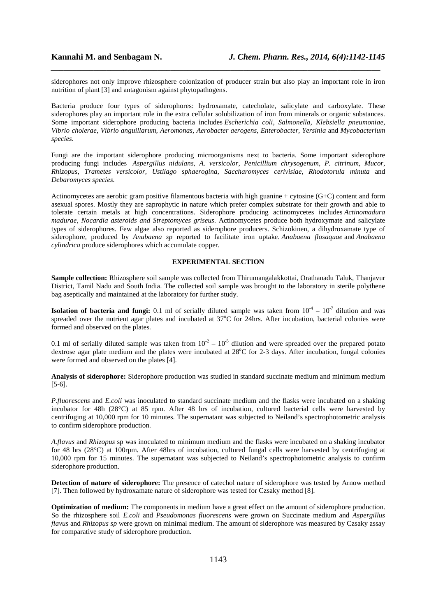siderophores not only improve rhizosphere colonization of producer strain but also play an important role in iron nutrition of plant [3] and antagonism against phytopathogens.

*\_\_\_\_\_\_\_\_\_\_\_\_\_\_\_\_\_\_\_\_\_\_\_\_\_\_\_\_\_\_\_\_\_\_\_\_\_\_\_\_\_\_\_\_\_\_\_\_\_\_\_\_\_\_\_\_\_\_\_\_\_\_\_\_\_\_\_\_\_\_\_\_\_\_\_\_\_*

Bacteria produce four types of siderophores: hydroxamate, catecholate, salicylate and carboxylate. These siderophores play an important role in the extra cellular solubilization of iron from minerals or organic substances. Some important siderophore producing bacteria includes *Escherichia coli, Salmonella, Klebsiella pneumoniae, Vibrio cholerae, Vibrio anguillarum, Aeromonas, Aerobacter aerogens, Enterobacter, Yersinia* and *Mycobacterium species.* 

Fungi are the important siderophore producing microorganisms next to bacteria. Some important siderophore producing fungi includes *Aspergillus nidulans, A. versicolor, Penicillium chrysogenum, P. citrinum, Mucor, Rhizopus, Trametes versicolor, Ustilago sphaerogina, Saccharomyces cerivisiae, Rhodotorula minuta* and *Debaromyces species.* 

Actinomycetes are aerobic gram positive filamentous bacteria with high guanine + cytosine (G+C) content and form asexual spores. Mostly they are saprophytic in nature which prefer complex substrate for their growth and able to tolerate certain metals at high concentrations. Siderophore producing actinomycetes includes *Actinomadura madurae, Nocardia asteroids and Streptomyces griseus*. Actinomycetes produce both hydroxymate and salicylate types of siderophores. Few algae also reported as siderophore producers. Schizokinen, a dihydroxamate type of siderophore, produced by *Anabaena sp* reported to facilitate iron uptake. *Anabaena flosaquae* and *Anabaena cylindrica* produce siderophores which accumulate copper.

#### **EXPERIMENTAL SECTION**

**Sample collection:** Rhizosphere soil sample was collected from Thirumangalakkottai, Orathanadu Taluk, Thanjavur District, Tamil Nadu and South India. The collected soil sample was brought to the laboratory in sterile polythene bag aseptically and maintained at the laboratory for further study.

**Isolation of bacteria and fungi:** 0.1 ml of serially diluted sample was taken from  $10^{-4} - 10^{-7}$  dilution and was spreaded over the nutrient agar plates and incubated at  $37^{\circ}$ C for 24hrs. After incubation, bacterial colonies were formed and observed on the plates.

0.1 ml of serially diluted sample was taken from  $10^{-2} - 10^{-5}$  dilution and were spreaded over the prepared potato dextrose agar plate medium and the plates were incubated at  $28^{\circ}$ C for 2-3 days. After incubation, fungal colonies were formed and observed on the plates [4].

**Analysis of siderophore:** Siderophore production was studied in standard succinate medium and minimum medium [5-6].

*P.fluorescens* and *E.coli* was inoculated to standard succinate medium and the flasks were incubated on a shaking incubator for 48h (28°C) at 85 rpm. After 48 hrs of incubation, cultured bacterial cells were harvested by centrifuging at 10,000 rpm for 10 minutes. The supernatant was subjected to Neiland's spectrophotometric analysis to confirm siderophore production.

*A.flavus* and *Rhizopus* sp was inoculated to minimum medium and the flasks were incubated on a shaking incubator for 48 hrs (28°C) at 100rpm. After 48hrs of incubation, cultured fungal cells were harvested by centrifuging at 10,000 rpm for 15 minutes. The supernatant was subjected to Neiland's spectrophotometric analysis to confirm siderophore production.

**Detection of nature of siderophore:** The presence of catechol nature of siderophore was tested by Arnow method [7]. Then followed by hydroxamate nature of siderophore was tested for Czsaky method [8].

**Optimization of medium:** The components in medium have a great effect on the amount of siderophore production. So the rhizosphere soil *E.coli* and *Pseudomonas fluorescens* were grown on Succinate medium and *Aspergillus flavus* and *Rhizopus sp* were grown on minimal medium. The amount of siderophore was measured by Czsaky assay for comparative study of siderophore production.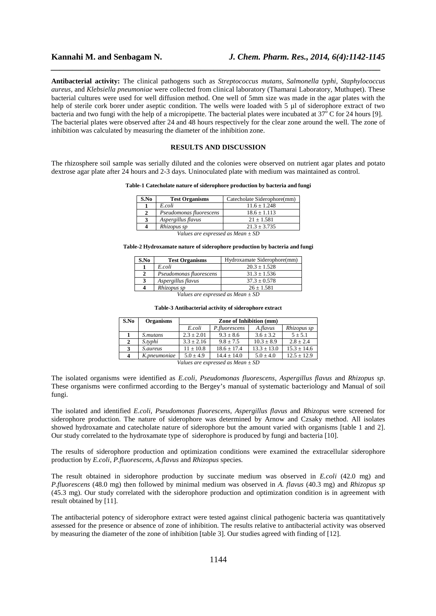**Antibacterial activity:** The clinical pathogens such as *Streptococcus mutans, Salmonella typhi, Staphylococcus aureus,* and *Klebsiella pneumoniae* were collected from clinical laboratory (Thamarai Laboratory, Muthupet). These bacterial cultures were used for well diffusion method. One well of 5mm size was made in the agar plates with the help of sterile cork borer under aseptic condition. The wells were loaded with 5 µl of siderophore extract of two bacteria and two fungi with the help of a micropipette. The bacterial plates were incubated at  $37^{\circ}$  C for 24 hours [9]. The bacterial plates were observed after 24 and 48 hours respectively for the clear zone around the well. The zone of inhibition was calculated by measuring the diameter of the inhibition zone.

*\_\_\_\_\_\_\_\_\_\_\_\_\_\_\_\_\_\_\_\_\_\_\_\_\_\_\_\_\_\_\_\_\_\_\_\_\_\_\_\_\_\_\_\_\_\_\_\_\_\_\_\_\_\_\_\_\_\_\_\_\_\_\_\_\_\_\_\_\_\_\_\_\_\_\_\_\_*

#### **RESULTS AND DISCUSSION**

The rhizosphere soil sample was serially diluted and the colonies were observed on nutrient agar plates and potato dextrose agar plate after 24 hours and 2-3 days. Uninoculated plate with medium was maintained as control.

|  |  | Table-1 Catecholate nature of siderophore production by bacteria and fungi |
|--|--|----------------------------------------------------------------------------|
|  |  |                                                                            |

| S.No                                  | <b>Test Organisms</b>   | Catecholate Siderophore(mm) |  |  |  |
|---------------------------------------|-------------------------|-----------------------------|--|--|--|
|                                       | E.coli                  | $11.6 \pm 1.248$            |  |  |  |
| $\mathbf{2}$                          | Pseudomonas fluorescens | $18.6 \pm 1.113$            |  |  |  |
| 3                                     | Aspergillus flavus      | $21 \pm 1.581$              |  |  |  |
| 4                                     | Rhizopus sp             | $21.3 \pm 3.735$            |  |  |  |
| Values are expressed as Mean $\pm$ SD |                         |                             |  |  |  |

#### **Table-2 Hydroxamate nature of siderophore production by bacteria and fungi**

| S.No                                     | <b>Test Organisms</b>   | Hydroxamate Siderophore(mm) |  |  |
|------------------------------------------|-------------------------|-----------------------------|--|--|
|                                          | E.coli                  | $20.3 \pm 1.528$            |  |  |
|                                          | Pseudomonas fluorescens | $31.3 + 1.536$              |  |  |
|                                          | Aspergillus flavus      | $37.3 \pm 0.578$            |  |  |
|                                          | Rhizopus sp             | $26 \pm 1.581$              |  |  |
| $U \cup I$ and $U \cup I$ and $I \cup I$ |                         |                             |  |  |

*Values are expressed as Mean ± SD* 

| S.No                                  | <b>Organisms</b> | Zone of Inhibition (mm) |                 |                 |                 |  |
|---------------------------------------|------------------|-------------------------|-----------------|-----------------|-----------------|--|
|                                       |                  | E.coli                  | P.fluorescens   | A.flavus        | Rhizopus sp     |  |
|                                       | <i>S.mutans</i>  | $2.3 \pm 2.01$          | $9.3 \pm 8.6$   | $3.6 \pm 3.2$   | $5 \pm 5.1$     |  |
| 2                                     | S.typhi          | $3.3 \pm 2.16$          | $9.8 \pm 7.5$   | $10.3 \pm 8.9$  | $2.8 + 2.4$     |  |
| 3                                     | <i>S.aureus</i>  | $11 \pm 10.8$           | $18.6 \pm 17.4$ | $13.3 \pm 13.0$ | $15.3 \pm 14.6$ |  |
| 4                                     | K.pneumoniae     | $5.0 + 4.9$             | $14.4 + 14.0$   | $5.0 \pm 4.0$   | $12.5 \pm 12.9$ |  |
| Values are expressed as Mean $\pm$ SD |                  |                         |                 |                 |                 |  |

**Table-3 Antibacterial activity of siderophore extract** 

The isolated organisms were identified as *E.coli, Pseudomonas fluorescens, Aspergillus flavus* and *Rhizopus sp*. These organisms were confirmed according to the Bergey's manual of systematic bacteriology and Manual of soil fungi.

The isolated and identified *E.coli*, *Pseudomonas fluorescens, Aspergillus flavus* and *Rhizopus* were screened for siderophore production. The nature of siderophore was determined by Arnow and Czsaky method. All isolates showed hydroxamate and catecholate nature of siderophore but the amount varied with organisms [table 1 and 2]. Our study correlated to the hydroxamate type of siderophore is produced by fungi and bacteria [10].

The results of siderophore production and optimization conditions were examined the extracellular siderophore production by *E.coli, P.fluorescens, A.flavus* and *Rhizopus* species.

The result obtained in siderophore production by succinate medium was observed in *E.coli* (42.0 mg) and *P.fluorescens* (48.0 mg) then followed by minimal medium was observed in *A. flavus* (40.3 mg) and *Rhizopus sp*  (45.3 mg). Our study correlated with the siderophore production and optimization condition is in agreement with result obtained by [11].

The antibacterial potency of siderophore extract were tested against clinical pathogenic bacteria was quantitatively assessed for the presence or absence of zone of inhibition. The results relative to antibacterial activity was observed by measuring the diameter of the zone of inhibition [table 3]. Our studies agreed with finding of [12].